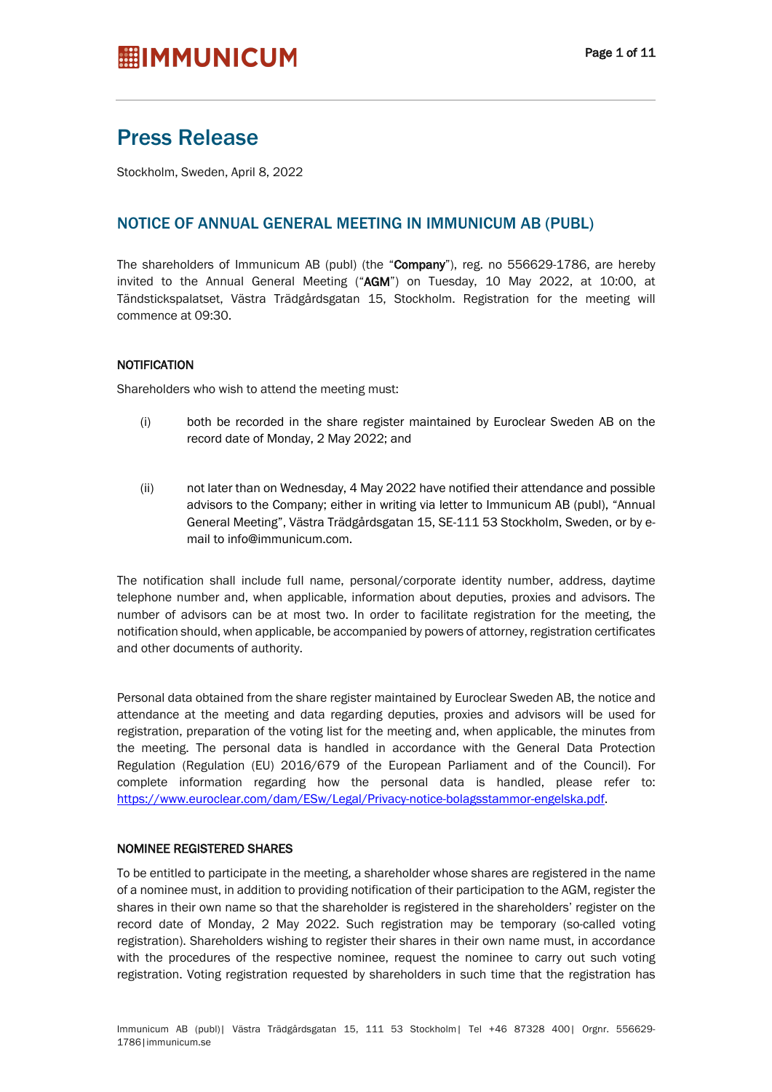## Press Release

Stockholm, Sweden, April 8, 2022

### NOTICE OF ANNUAL GENERAL MEETING IN IMMUNICUM AB (PUBL)

The shareholders of Immunicum AB (publ) (the "Company"), reg. no 556629-1786, are hereby invited to the Annual General Meeting ("AGM") on Tuesday, 10 May 2022, at 10:00, at Tändstickspalatset, Västra Trädgårdsgatan 15, Stockholm. Registration for the meeting will commence at 09:30.

### NOTIFICATION

Shareholders who wish to attend the meeting must:

- (i) both be recorded in the share register maintained by Euroclear Sweden AB on the record date of Monday, 2 May 2022; and
- (ii) not later than on Wednesday, 4 May 2022 have notified their attendance and possible advisors to the Company; either in writing via letter to Immunicum AB (publ), "Annual General Meeting", Västra Trädgårdsgatan 15, SE-111 53 Stockholm, Sweden, or by email to info@immunicum.com.

The notification shall include full name, personal/corporate identity number, address, daytime telephone number and, when applicable, information about deputies, proxies and advisors. The number of advisors can be at most two. In order to facilitate registration for the meeting, the notification should, when applicable, be accompanied by powers of attorney, registration certificates and other documents of authority.

Personal data obtained from the share register maintained by Euroclear Sweden AB, the notice and attendance at the meeting and data regarding deputies, proxies and advisors will be used for registration, preparation of the voting list for the meeting and, when applicable, the minutes from the meeting. The personal data is handled in accordance with the General Data Protection Regulation (Regulation (EU) 2016/679 of the European Parliament and of the Council). For complete information regarding how the personal data is handled, please refer to: https://www.euroclear.com/dam/ESw/Legal/Privacy-notice-bolagsstammor-engelska.pdf.

#### NOMINEE REGISTERED SHARES

To be entitled to participate in the meeting, a shareholder whose shares are registered in the name of a nominee must, in addition to providing notification of their participation to the AGM, register the shares in their own name so that the shareholder is registered in the shareholders' register on the record date of Monday, 2 May 2022. Such registration may be temporary (so-called voting registration). Shareholders wishing to register their shares in their own name must, in accordance with the procedures of the respective nominee, request the nominee to carry out such voting registration. Voting registration requested by shareholders in such time that the registration has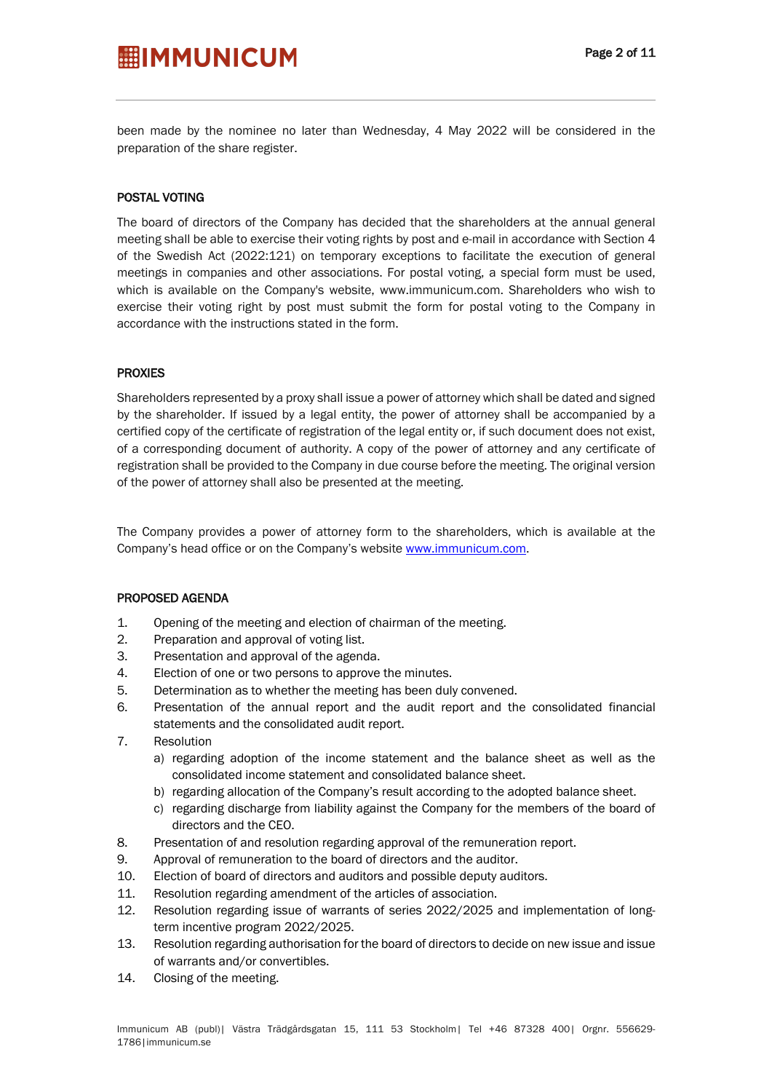been made by the nominee no later than Wednesday, 4 May 2022 will be considered in the preparation of the share register.

### POSTAL VOTING

The board of directors of the Company has decided that the shareholders at the annual general meeting shall be able to exercise their voting rights by post and e-mail in accordance with Section 4 of the Swedish Act (2022:121) on temporary exceptions to facilitate the execution of general meetings in companies and other associations. For postal voting, a special form must be used, which is available on the Company's website, www.immunicum.com. Shareholders who wish to exercise their voting right by post must submit the form for postal voting to the Company in accordance with the instructions stated in the form.

### PROXIES

Shareholders represented by a proxy shall issue a power of attorney which shall be dated and signed by the shareholder. If issued by a legal entity, the power of attorney shall be accompanied by a certified copy of the certificate of registration of the legal entity or, if such document does not exist, of a corresponding document of authority. A copy of the power of attorney and any certificate of registration shall be provided to the Company in due course before the meeting. The original version of the power of attorney shall also be presented at the meeting.

The Company provides a power of attorney form to the shareholders, which is available at the Company's head office or on the Company's website www.immunicum.com.

### PROPOSED AGENDA

- 1. Opening of the meeting and election of chairman of the meeting.
- 2. Preparation and approval of voting list.
- 3. Presentation and approval of the agenda.
- 4. Election of one or two persons to approve the minutes.
- 5. Determination as to whether the meeting has been duly convened.
- 6. Presentation of the annual report and the audit report and the consolidated financial statements and the consolidated audit report.
- 7. Resolution
	- a) regarding adoption of the income statement and the balance sheet as well as the consolidated income statement and consolidated balance sheet.
	- b) regarding allocation of the Company's result according to the adopted balance sheet.
	- c) regarding discharge from liability against the Company for the members of the board of directors and the CEO.
- 8. Presentation of and resolution regarding approval of the remuneration report.
- 9. Approval of remuneration to the board of directors and the auditor.
- 10. Election of board of directors and auditors and possible deputy auditors.
- 11. Resolution regarding amendment of the articles of association.
- 12. Resolution regarding issue of warrants of series 2022/2025 and implementation of longterm incentive program 2022/2025.
- 13. Resolution regarding authorisation for the board of directors to decide on new issue and issue of warrants and/or convertibles.
- 14. Closing of the meeting.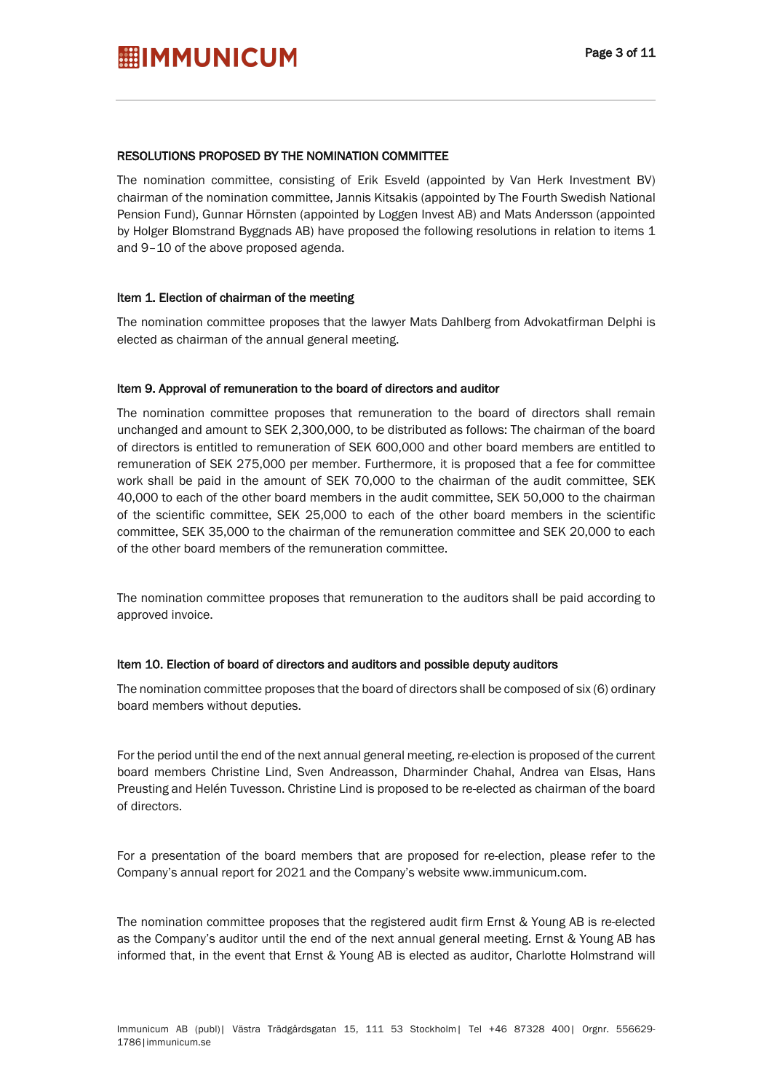#### RESOLUTIONS PROPOSED BY THE NOMINATION COMMITTEE

The nomination committee, consisting of Erik Esveld (appointed by Van Herk Investment BV) chairman of the nomination committee, Jannis Kitsakis (appointed by The Fourth Swedish National Pension Fund), Gunnar Hörnsten (appointed by Loggen Invest AB) and Mats Andersson (appointed by Holger Blomstrand Byggnads AB) have proposed the following resolutions in relation to items 1 and 9–10 of the above proposed agenda.

### Item 1. Election of chairman of the meeting

The nomination committee proposes that the lawyer Mats Dahlberg from Advokatfirman Delphi is elected as chairman of the annual general meeting.

#### Item 9. Approval of remuneration to the board of directors and auditor

The nomination committee proposes that remuneration to the board of directors shall remain unchanged and amount to SEK 2,300,000, to be distributed as follows: The chairman of the board of directors is entitled to remuneration of SEK 600,000 and other board members are entitled to remuneration of SEK 275,000 per member. Furthermore, it is proposed that a fee for committee work shall be paid in the amount of SEK 70,000 to the chairman of the audit committee, SEK 40,000 to each of the other board members in the audit committee, SEK 50,000 to the chairman of the scientific committee, SEK 25,000 to each of the other board members in the scientific committee, SEK 35,000 to the chairman of the remuneration committee and SEK 20,000 to each of the other board members of the remuneration committee.

The nomination committee proposes that remuneration to the auditors shall be paid according to approved invoice.

#### Item 10. Election of board of directors and auditors and possible deputy auditors

The nomination committee proposes that the board of directors shall be composed of six (6) ordinary board members without deputies.

For the period until the end of the next annual general meeting, re-election is proposed of the current board members Christine Lind, Sven Andreasson, Dharminder Chahal, Andrea van Elsas, Hans Preusting and Helén Tuvesson. Christine Lind is proposed to be re-elected as chairman of the board of directors.

For a presentation of the board members that are proposed for re-election, please refer to the Company's annual report for 2021 and the Company's website www.immunicum.com.

The nomination committee proposes that the registered audit firm Ernst & Young AB is re-elected as the Company's auditor until the end of the next annual general meeting. Ernst & Young AB has informed that, in the event that Ernst & Young AB is elected as auditor, Charlotte Holmstrand will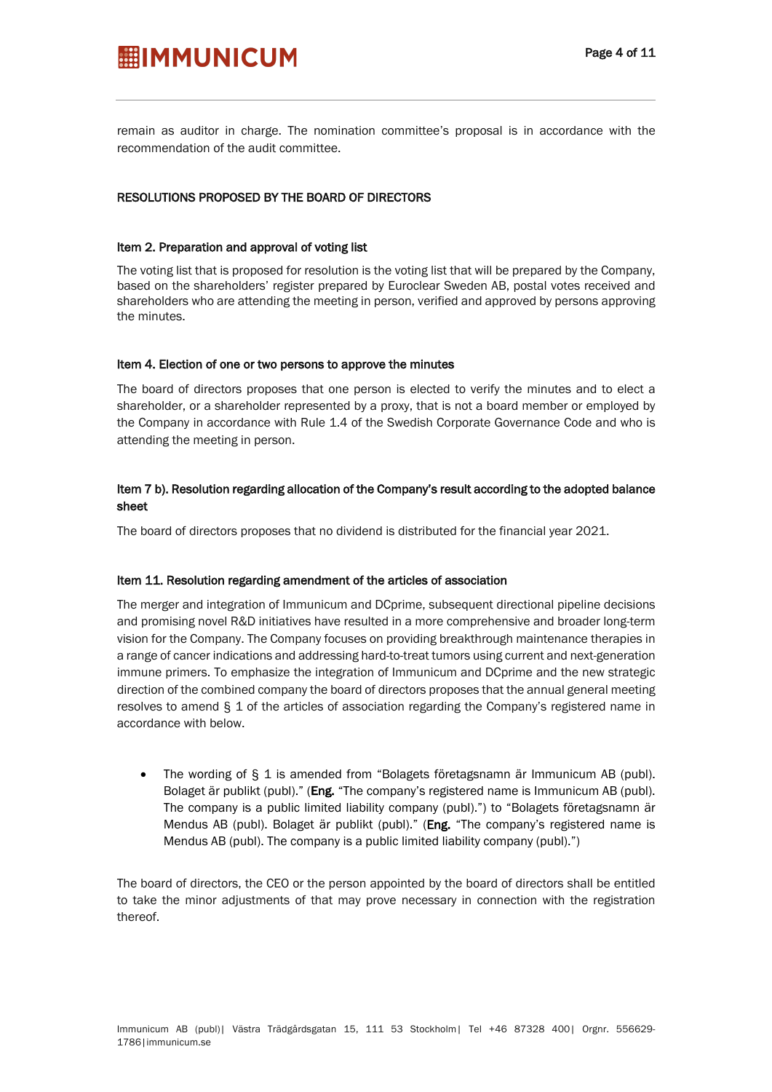remain as auditor in charge. The nomination committee's proposal is in accordance with the recommendation of the audit committee.

### RESOLUTIONS PROPOSED BY THE BOARD OF DIRECTORS

#### Item 2. Preparation and approval of voting list

The voting list that is proposed for resolution is the voting list that will be prepared by the Company, based on the shareholders' register prepared by Euroclear Sweden AB, postal votes received and shareholders who are attending the meeting in person, verified and approved by persons approving the minutes.

#### Item 4. Election of one or two persons to approve the minutes

The board of directors proposes that one person is elected to verify the minutes and to elect a shareholder, or a shareholder represented by a proxy, that is not a board member or employed by the Company in accordance with Rule 1.4 of the Swedish Corporate Governance Code and who is attending the meeting in person.

### Item 7 b). Resolution regarding allocation of the Company's result according to the adopted balance sheet

The board of directors proposes that no dividend is distributed for the financial year 2021.

#### Item 11. Resolution regarding amendment of the articles of association

The merger and integration of Immunicum and DCprime, subsequent directional pipeline decisions and promising novel R&D initiatives have resulted in a more comprehensive and broader long-term vision for the Company. The Company focuses on providing breakthrough maintenance therapies in a range of cancer indications and addressing hard-to-treat tumors using current and next-generation immune primers. To emphasize the integration of Immunicum and DCprime and the new strategic direction of the combined company the board of directors proposes that the annual general meeting resolves to amend § 1 of the articles of association regarding the Company's registered name in accordance with below.

• The wording of § 1 is amended from "Bolagets företagsnamn är Immunicum AB (publ). Bolaget är publikt (publ)." (Eng. "The company's registered name is Immunicum AB (publ). The company is a public limited liability company (publ).") to "Bolagets företagsnamn är Mendus AB (publ). Bolaget är publikt (publ)." (Eng. "The company's registered name is Mendus AB (publ). The company is a public limited liability company (publ).")

The board of directors, the CEO or the person appointed by the board of directors shall be entitled to take the minor adjustments of that may prove necessary in connection with the registration thereof.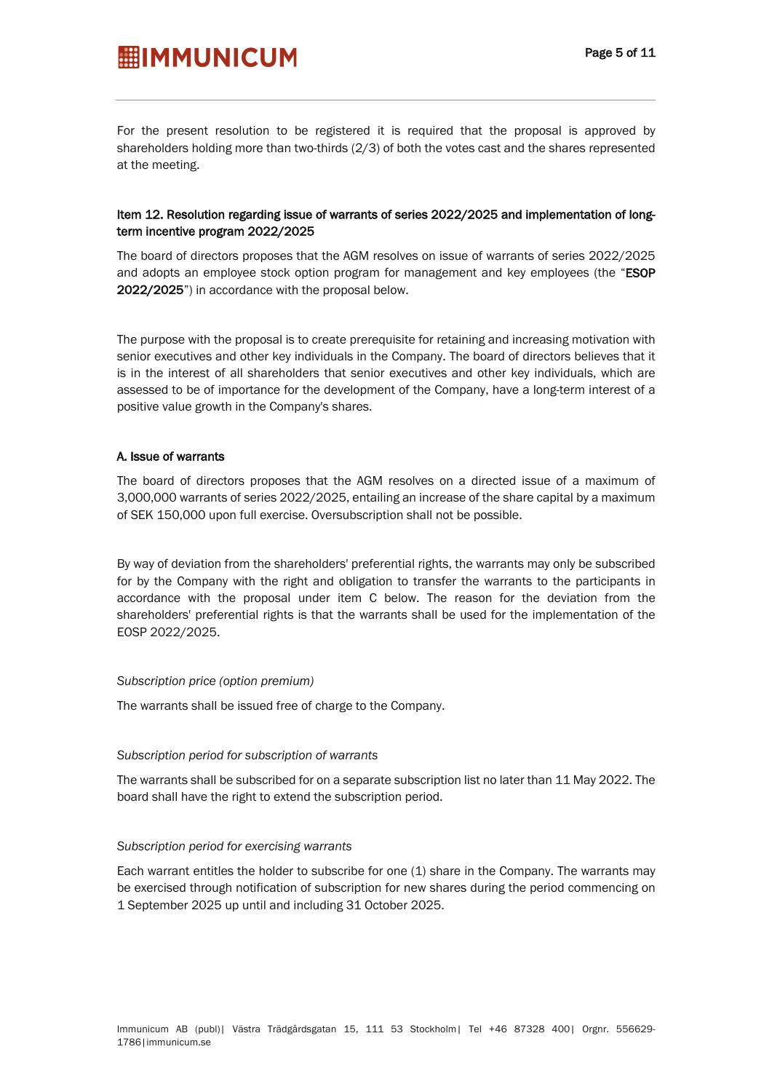For the present resolution to be registered it is required that the proposal is approved by shareholders holding more than two-thirds (2/3) of both the votes cast and the shares represented at the meeting.

### Item 12. Resolution regarding issue of warrants of series 2022/2025 and implementation of longterm incentive program 2022/2025

The board of directors proposes that the AGM resolves on issue of warrants of series 2022/2025 and adopts an employee stock option program for management and key employees (the "ESOP 2022/2025") in accordance with the proposal below.

The purpose with the proposal is to create prerequisite for retaining and increasing motivation with senior executives and other key individuals in the Company. The board of directors believes that it is in the interest of all shareholders that senior executives and other key individuals, which are assessed to be of importance for the development of the Company, have a long-term interest of a positive value growth in the Company's shares.

#### A. Issue of warrants

The board of directors proposes that the AGM resolves on a directed issue of a maximum of 3,000,000 warrants of series 2022/2025, entailing an increase of the share capital by a maximum of SEK 150,000 upon full exercise. Oversubscription shall not be possible.

By way of deviation from the shareholders' preferential rights, the warrants may only be subscribed for by the Company with the right and obligation to transfer the warrants to the participants in accordance with the proposal under item C below. The reason for the deviation from the shareholders' preferential rights is that the warrants shall be used for the implementation of the EOSP 2022/2025.

#### *Subscription price (option premium)*

The warrants shall be issued free of charge to the Company.

#### *Subscription period for subscription of warrants*

The warrants shall be subscribed for on a separate subscription list no later than 11 May 2022. The board shall have the right to extend the subscription period.

#### *Subscription period for exercising warrants*

Each warrant entitles the holder to subscribe for one (1) share in the Company. The warrants may be exercised through notification of subscription for new shares during the period commencing on 1 September 2025 up until and including 31 October 2025.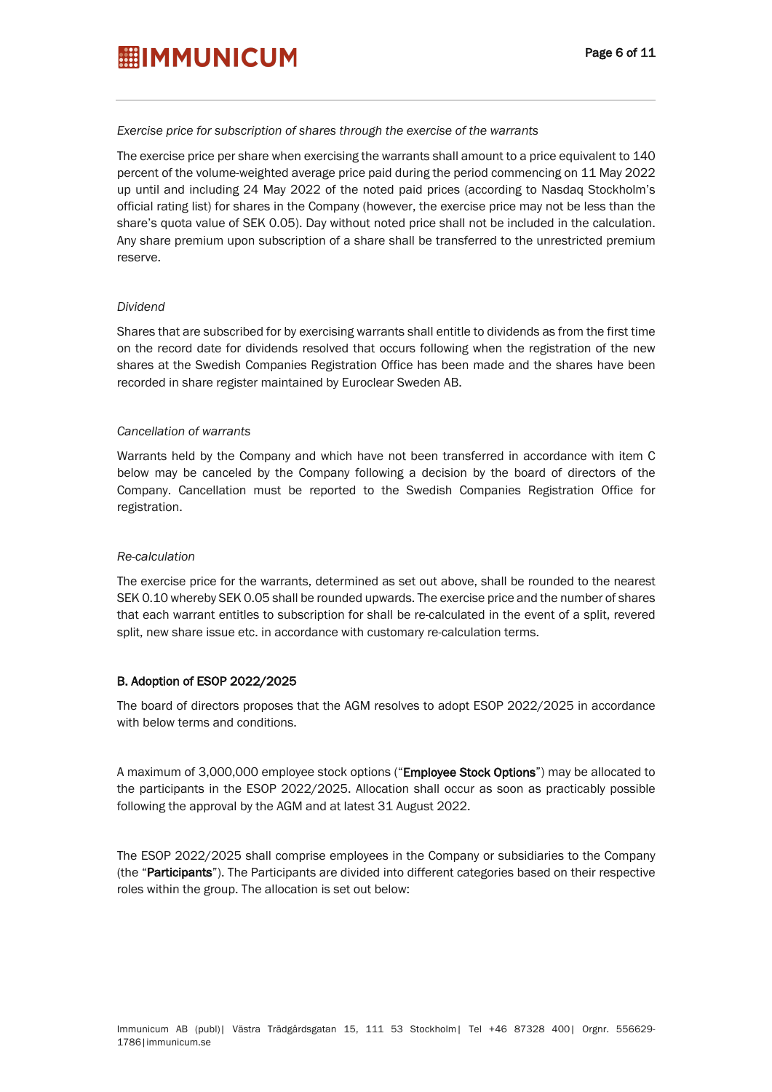#### *Exercise price for subscription of shares through the exercise of the warrants*

The exercise price per share when exercising the warrants shall amount to a price equivalent to 140 percent of the volume-weighted average price paid during the period commencing on 11 May 2022 up until and including 24 May 2022 of the noted paid prices (according to Nasdaq Stockholm's official rating list) for shares in the Company (however, the exercise price may not be less than the share's quota value of SEK 0.05). Day without noted price shall not be included in the calculation. Any share premium upon subscription of a share shall be transferred to the unrestricted premium reserve.

#### *Dividend*

Shares that are subscribed for by exercising warrants shall entitle to dividends as from the first time on the record date for dividends resolved that occurs following when the registration of the new shares at the Swedish Companies Registration Office has been made and the shares have been recorded in share register maintained by Euroclear Sweden AB.

#### *Cancellation of warrants*

Warrants held by the Company and which have not been transferred in accordance with item C below may be canceled by the Company following a decision by the board of directors of the Company. Cancellation must be reported to the Swedish Companies Registration Office for registration.

#### *Re-calculation*

The exercise price for the warrants, determined as set out above, shall be rounded to the nearest SEK 0.10 whereby SEK 0.05 shall be rounded upwards. The exercise price and the number of shares that each warrant entitles to subscription for shall be re-calculated in the event of a split, revered split, new share issue etc. in accordance with customary re-calculation terms.

#### B. Adoption of ESOP 2022/2025

The board of directors proposes that the AGM resolves to adopt ESOP 2022/2025 in accordance with below terms and conditions.

A maximum of 3,000,000 employee stock options ("Employee Stock Options") may be allocated to the participants in the ESOP 2022/2025. Allocation shall occur as soon as practicably possible following the approval by the AGM and at latest 31 August 2022.

The ESOP 2022/2025 shall comprise employees in the Company or subsidiaries to the Company (the "Participants"). The Participants are divided into different categories based on their respective roles within the group. The allocation is set out below: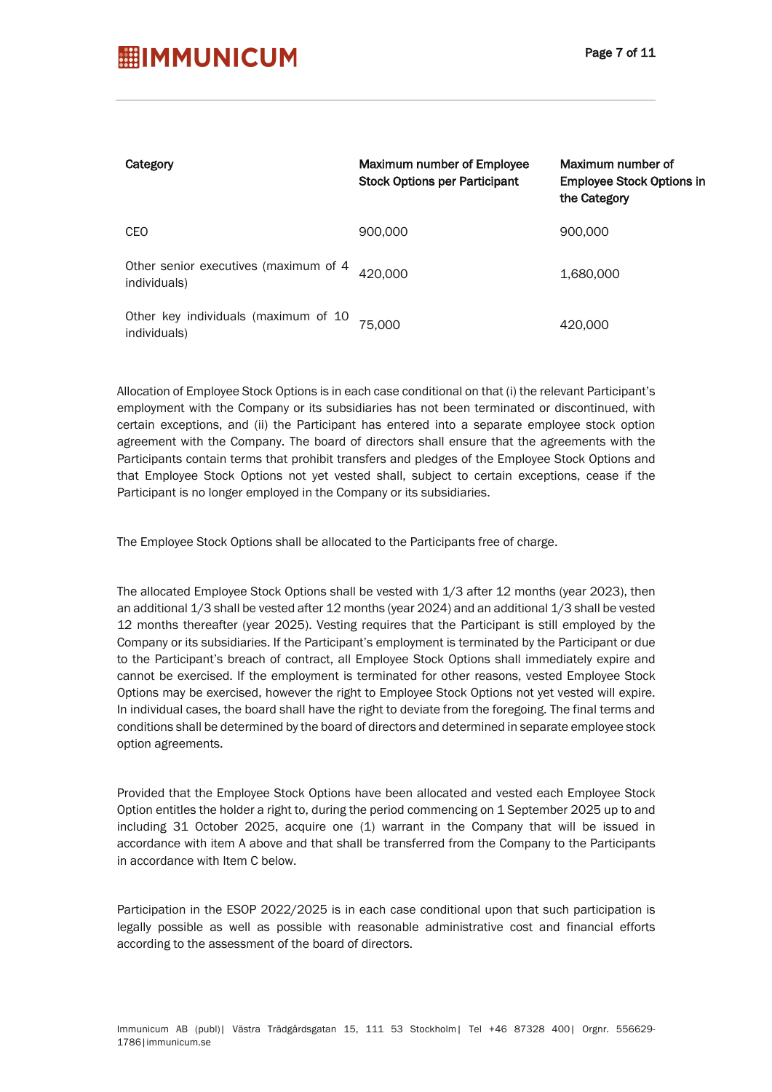| Category                                              | Maximum number of Employee<br><b>Stock Options per Participant</b> | Maximum number of<br><b>Employee Stock Options in</b><br>the Category |
|-------------------------------------------------------|--------------------------------------------------------------------|-----------------------------------------------------------------------|
| CEO                                                   | 900,000                                                            | 900,000                                                               |
| Other senior executives (maximum of 4<br>individuals) | 420.000                                                            | 1,680,000                                                             |
| Other key individuals (maximum of 10<br>individuals)  | 75,000                                                             | 420,000                                                               |

Allocation of Employee Stock Options is in each case conditional on that (i) the relevant Participant's employment with the Company or its subsidiaries has not been terminated or discontinued, with certain exceptions, and (ii) the Participant has entered into a separate employee stock option agreement with the Company. The board of directors shall ensure that the agreements with the Participants contain terms that prohibit transfers and pledges of the Employee Stock Options and that Employee Stock Options not yet vested shall, subject to certain exceptions, cease if the Participant is no longer employed in the Company or its subsidiaries.

The Employee Stock Options shall be allocated to the Participants free of charge.

The allocated Employee Stock Options shall be vested with 1/3 after 12 months (year 2023), then an additional 1/3 shall be vested after 12 months (year 2024) and an additional 1/3 shall be vested 12 months thereafter (year 2025). Vesting requires that the Participant is still employed by the Company or its subsidiaries. If the Participant's employment is terminated by the Participant or due to the Participant's breach of contract, all Employee Stock Options shall immediately expire and cannot be exercised. If the employment is terminated for other reasons, vested Employee Stock Options may be exercised, however the right to Employee Stock Options not yet vested will expire. In individual cases, the board shall have the right to deviate from the foregoing. The final terms and conditions shall be determined by the board of directors and determined in separate employee stock option agreements.

Provided that the Employee Stock Options have been allocated and vested each Employee Stock Option entitles the holder a right to, during the period commencing on 1 September 2025 up to and including 31 October 2025, acquire one (1) warrant in the Company that will be issued in accordance with item A above and that shall be transferred from the Company to the Participants in accordance with Item C below.

Participation in the ESOP 2022/2025 is in each case conditional upon that such participation is legally possible as well as possible with reasonable administrative cost and financial efforts according to the assessment of the board of directors.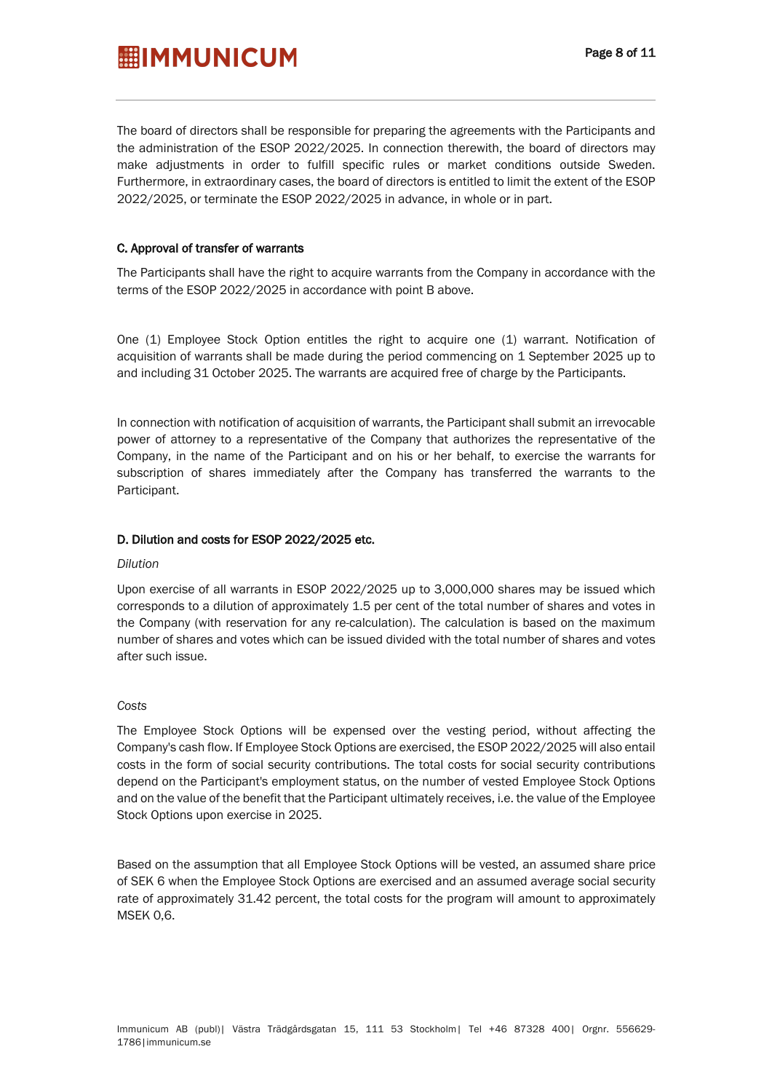The board of directors shall be responsible for preparing the agreements with the Participants and the administration of the ESOP 2022/2025. In connection therewith, the board of directors may make adjustments in order to fulfill specific rules or market conditions outside Sweden. Furthermore, in extraordinary cases, the board of directors is entitled to limit the extent of the ESOP 2022/2025, or terminate the ESOP 2022/2025 in advance, in whole or in part.

### C. Approval of transfer of warrants

The Participants shall have the right to acquire warrants from the Company in accordance with the terms of the ESOP 2022/2025 in accordance with point B above.

One (1) Employee Stock Option entitles the right to acquire one (1) warrant. Notification of acquisition of warrants shall be made during the period commencing on 1 September 2025 up to and including 31 October 2025. The warrants are acquired free of charge by the Participants.

In connection with notification of acquisition of warrants, the Participant shall submit an irrevocable power of attorney to a representative of the Company that authorizes the representative of the Company, in the name of the Participant and on his or her behalf, to exercise the warrants for subscription of shares immediately after the Company has transferred the warrants to the Participant.

### D. Dilution and costs for ESOP 2022/2025 etc.

#### *Dilution*

Upon exercise of all warrants in ESOP 2022/2025 up to 3,000,000 shares may be issued which corresponds to a dilution of approximately 1.5 per cent of the total number of shares and votes in the Company (with reservation for any re-calculation). The calculation is based on the maximum number of shares and votes which can be issued divided with the total number of shares and votes after such issue.

#### *Costs*

The Employee Stock Options will be expensed over the vesting period, without affecting the Company's cash flow. If Employee Stock Options are exercised, the ESOP 2022/2025 will also entail costs in the form of social security contributions. The total costs for social security contributions depend on the Participant's employment status, on the number of vested Employee Stock Options and on the value of the benefit that the Participant ultimately receives, i.e. the value of the Employee Stock Options upon exercise in 2025.

Based on the assumption that all Employee Stock Options will be vested, an assumed share price of SEK 6 when the Employee Stock Options are exercised and an assumed average social security rate of approximately 31.42 percent, the total costs for the program will amount to approximately MSEK 0,6.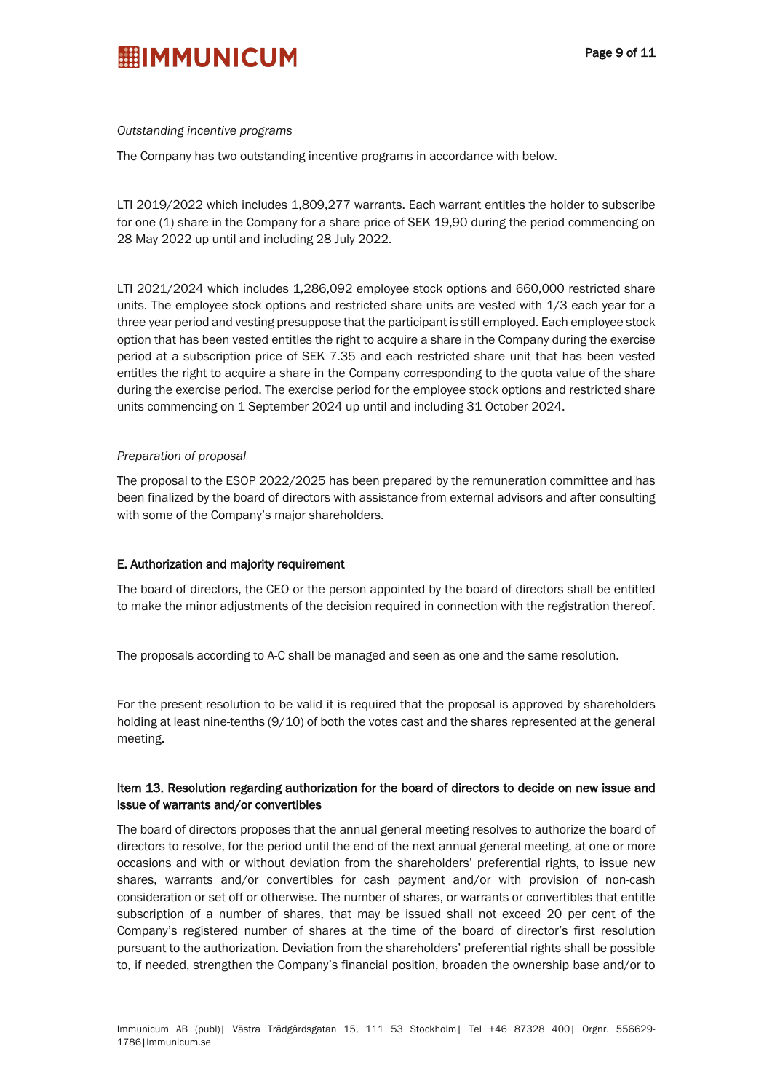#### *Outstanding incentive programs*

The Company has two outstanding incentive programs in accordance with below.

LTI 2019/2022 which includes 1,809,277 warrants. Each warrant entitles the holder to subscribe for one (1) share in the Company for a share price of SEK 19,90 during the period commencing on 28 May 2022 up until and including 28 July 2022.

LTI 2021/2024 which includes 1,286,092 employee stock options and 660,000 restricted share units. The employee stock options and restricted share units are vested with 1/3 each year for a three-year period and vesting presuppose that the participant is still employed. Each employee stock option that has been vested entitles the right to acquire a share in the Company during the exercise period at a subscription price of SEK 7.35 and each restricted share unit that has been vested entitles the right to acquire a share in the Company corresponding to the quota value of the share during the exercise period. The exercise period for the employee stock options and restricted share units commencing on 1 September 2024 up until and including 31 October 2024.

#### *Preparation of proposal*

The proposal to the ESOP 2022/2025 has been prepared by the remuneration committee and has been finalized by the board of directors with assistance from external advisors and after consulting with some of the Company's major shareholders.

#### E. Authorization and majority requirement

The board of directors, the CEO or the person appointed by the board of directors shall be entitled to make the minor adjustments of the decision required in connection with the registration thereof.

The proposals according to A-C shall be managed and seen as one and the same resolution.

For the present resolution to be valid it is required that the proposal is approved by shareholders holding at least nine-tenths (9/10) of both the votes cast and the shares represented at the general meeting.

### Item 13. Resolution regarding authorization for the board of directors to decide on new issue and issue of warrants and/or convertibles

The board of directors proposes that the annual general meeting resolves to authorize the board of directors to resolve, for the period until the end of the next annual general meeting, at one or more occasions and with or without deviation from the shareholders' preferential rights, to issue new shares, warrants and/or convertibles for cash payment and/or with provision of non-cash consideration or set-off or otherwise. The number of shares, or warrants or convertibles that entitle subscription of a number of shares, that may be issued shall not exceed 20 per cent of the Company's registered number of shares at the time of the board of director's first resolution pursuant to the authorization. Deviation from the shareholders' preferential rights shall be possible to, if needed, strengthen the Company's financial position, broaden the ownership base and/or to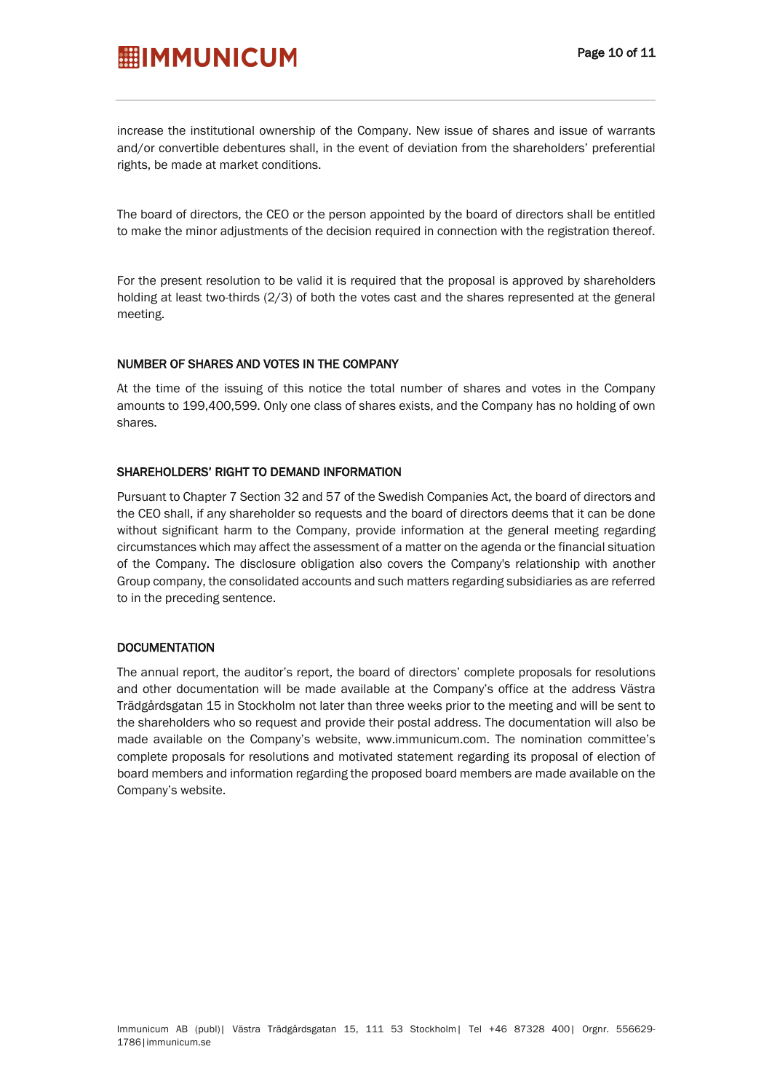# **Page 10 of 11**<br>**Page 10 of 11**

increase the institutional ownership of the Company. New issue of shares and issue of warrants and/or convertible debentures shall, in the event of deviation from the shareholders' preferential rights, be made at market conditions.

The board of directors, the CEO or the person appointed by the board of directors shall be entitled to make the minor adjustments of the decision required in connection with the registration thereof.

For the present resolution to be valid it is required that the proposal is approved by shareholders holding at least two-thirds (2/3) of both the votes cast and the shares represented at the general meeting.

#### NUMBER OF SHARES AND VOTES IN THE COMPANY

At the time of the issuing of this notice the total number of shares and votes in the Company amounts to 199,400,599. Only one class of shares exists, and the Company has no holding of own shares.

#### SHAREHOLDERS' RIGHT TO DEMAND INFORMATION

Pursuant to Chapter 7 Section 32 and 57 of the Swedish Companies Act, the board of directors and the CEO shall, if any shareholder so requests and the board of directors deems that it can be done without significant harm to the Company, provide information at the general meeting regarding circumstances which may affect the assessment of a matter on the agenda or the financial situation of the Company. The disclosure obligation also covers the Company's relationship with another Group company, the consolidated accounts and such matters regarding subsidiaries as are referred to in the preceding sentence.

#### **DOCUMENTATION**

The annual report, the auditor's report, the board of directors' complete proposals for resolutions and other documentation will be made available at the Company's office at the address Västra Trädgårdsgatan 15 in Stockholm not later than three weeks prior to the meeting and will be sent to the shareholders who so request and provide their postal address. The documentation will also be made available on the Company's website, www.immunicum.com. The nomination committee's complete proposals for resolutions and motivated statement regarding its proposal of election of board members and information regarding the proposed board members are made available on the Company's website.